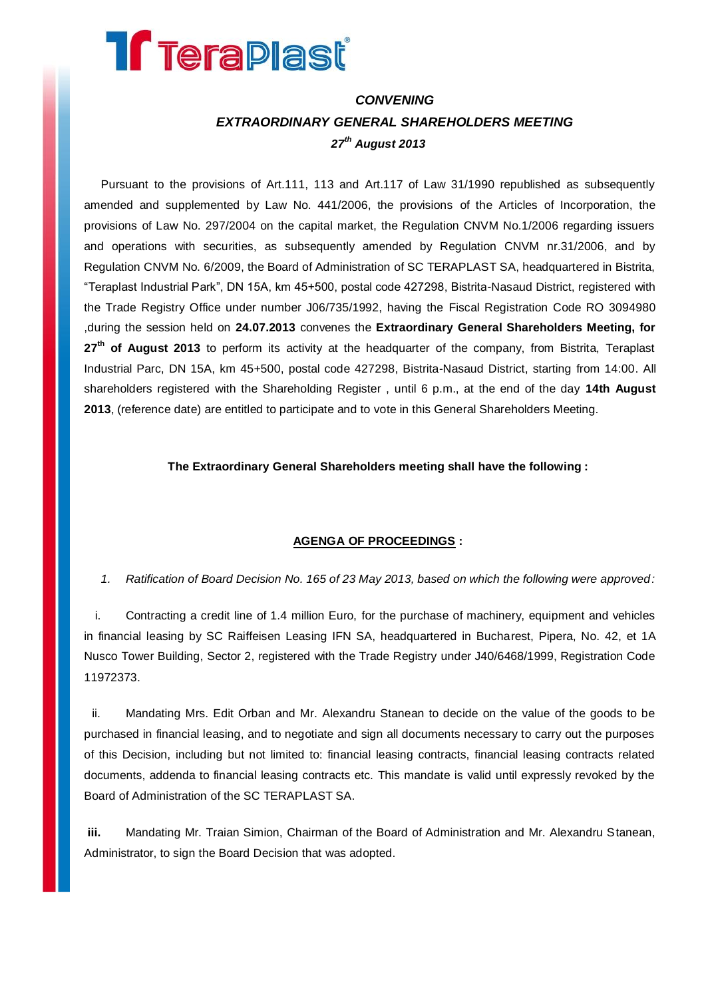## **Treraplast**

## *CONVENING EXTRAORDINARY GENERAL SHAREHOLDERS MEETING 27 th August 2013*

Pursuant to the provisions of Art.111, 113 and Art.117 of Law 31/1990 republished as subsequently amended and supplemented by Law No. 441/2006, the provisions of the Articles of Incorporation, the provisions of Law No. 297/2004 on the capital market, the Regulation CNVM No.1/2006 regarding issuers and operations with securities, as subsequently amended by Regulation CNVM nr.31/2006, and by Regulation CNVM No. 6/2009, the Board of Administration of SC TERAPLAST SA, headquartered in Bistrita, "Teraplast Industrial Park", DN 15A, km 45+500, postal code 427298, Bistrita-Nasaud District, registered with the Trade Registry Office under number J06/735/1992, having the Fiscal Registration Code RO 3094980 ,during the session held on **24.07.2013** convenes the **Extraordinary General Shareholders Meeting, for 27 th of August 2013** to perform its activity at the headquarter of the company, from Bistrita, Teraplast Industrial Parc, DN 15A, km 45+500, postal code 427298, Bistrita-Nasaud District, starting from 14:00. All shareholders registered with the Shareholding Register , until 6 p.m., at the end of the day **14th August 2013**, (reference date) are entitled to participate and to vote in this General Shareholders Meeting.

**The Extraordinary General Shareholders meeting shall have the following :**

## **AGENGA OF PROCEEDINGS :**

*1. Ratification of Board Decision No. 165 of 23 May 2013, based on which the following were approved:*

i. Contracting a credit line of 1.4 million Euro, for the purchase of machinery, equipment and vehicles in financial leasing by SC Raiffeisen Leasing IFN SA, headquartered in Bucharest, Pipera, No. 42, et 1A Nusco Tower Building, Sector 2, registered with the Trade Registry under J40/6468/1999, Registration Code 11972373.

ii. Mandating Mrs. Edit Orban and Mr. Alexandru Stanean to decide on the value of the goods to be purchased in financial leasing, and to negotiate and sign all documents necessary to carry out the purposes of this Decision, including but not limited to: financial leasing contracts, financial leasing contracts related documents, addenda to financial leasing contracts etc. This mandate is valid until expressly revoked by the Board of Administration of the SC TERAPLAST SA.

**iii.** Mandating Mr. Traian Simion, Chairman of the Board of Administration and Mr. Alexandru Stanean, Administrator, to sign the Board Decision that was adopted.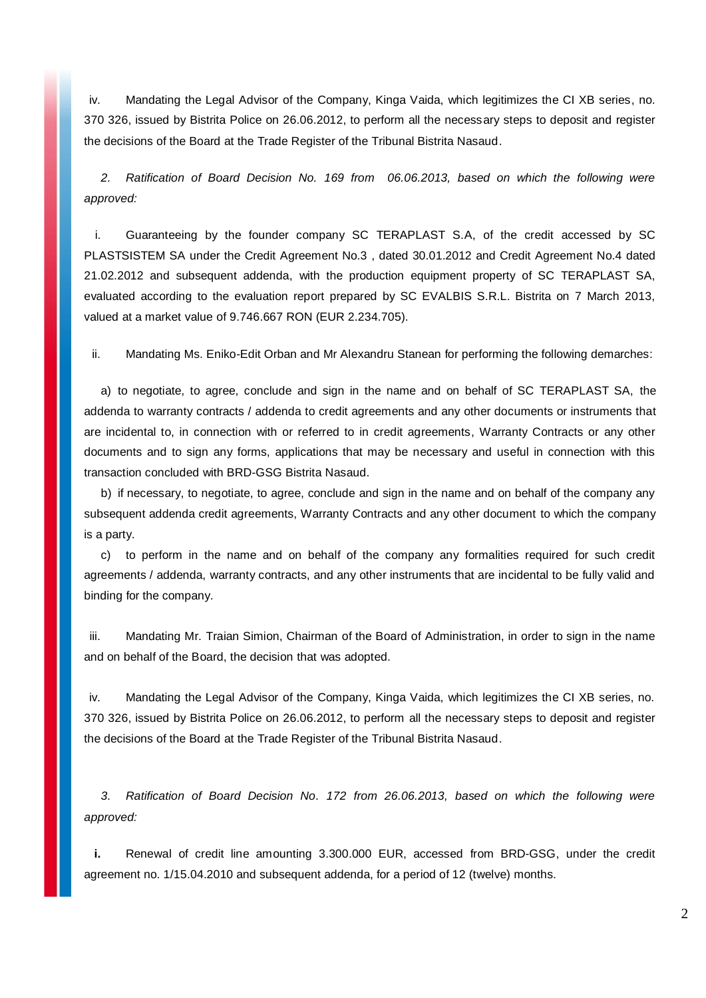iv. Mandating the Legal Advisor of the Company, Kinga Vaida, which legitimizes the CI XB series, no. 370 326, issued by Bistrita Police on 26.06.2012, to perform all the necessary steps to deposit and register the decisions of the Board at the Trade Register of the Tribunal Bistrita Nasaud.

*2. Ratification of Board Decision No. 169 from 06.06.2013, based on which the following were approved:*

i. Guaranteeing by the founder company SC TERAPLAST S.A, of the credit accessed by SC PLASTSISTEM SA under the Credit Agreement No.3 , dated 30.01.2012 and Credit Agreement No.4 dated 21.02.2012 and subsequent addenda, with the production equipment property of SC TERAPLAST SA, evaluated according to the evaluation report prepared by SC EVALBIS S.R.L. Bistrita on 7 March 2013, valued at a market value of 9.746.667 RON (EUR 2.234.705).

ii. Mandating Ms. Eniko-Edit Orban and Mr Alexandru Stanean for performing the following demarches:

a) to negotiate, to agree, conclude and sign in the name and on behalf of SC TERAPLAST SA, the addenda to warranty contracts / addenda to credit agreements and any other documents or instruments that are incidental to, in connection with or referred to in credit agreements, Warranty Contracts or any other documents and to sign any forms, applications that may be necessary and useful in connection with this transaction concluded with BRD-GSG Bistrita Nasaud.

b) if necessary, to negotiate, to agree, conclude and sign in the name and on behalf of the company any subsequent addenda credit agreements, Warranty Contracts and any other document to which the company is a party.

c) to perform in the name and on behalf of the company any formalities required for such credit agreements / addenda, warranty contracts, and any other instruments that are incidental to be fully valid and binding for the company.

iii. Mandating Mr. Traian Simion, Chairman of the Board of Administration, in order to sign in the name and on behalf of the Board, the decision that was adopted.

iv. Mandating the Legal Advisor of the Company, Kinga Vaida, which legitimizes the CI XB series, no. 370 326, issued by Bistrita Police on 26.06.2012, to perform all the necessary steps to deposit and register the decisions of the Board at the Trade Register of the Tribunal Bistrita Nasaud.

*3. Ratification of Board Decision No. 172 from 26.06.2013, based on which the following were approved:*

**i.** Renewal of credit line amounting 3.300.000 EUR, accessed from BRD-GSG, under the credit agreement no. 1/15.04.2010 and subsequent addenda, for a period of 12 (twelve) months.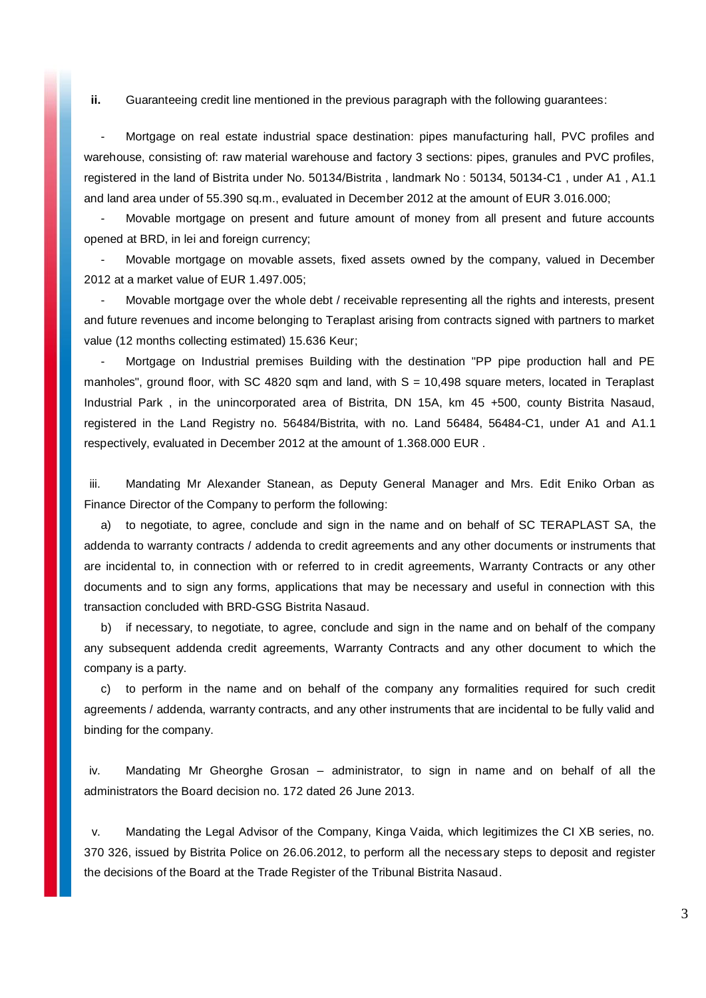**ii.** Guaranteeing credit line mentioned in the previous paragraph with the following guarantees:

- Mortgage on real estate industrial space destination: pipes manufacturing hall, PVC profiles and warehouse, consisting of: raw material warehouse and factory 3 sections: pipes, granules and PVC profiles, registered in the land of Bistrita under No. 50134/Bistrita , landmark No : 50134, 50134-C1 , under A1 , A1.1 and land area under of 55.390 sq.m., evaluated in December 2012 at the amount of EUR 3.016.000;

Movable mortgage on present and future amount of money from all present and future accounts opened at BRD, in lei and foreign currency;

- Movable mortgage on movable assets, fixed assets owned by the company, valued in December 2012 at a market value of EUR 1.497.005;

Movable mortgage over the whole debt / receivable representing all the rights and interests, present and future revenues and income belonging to Teraplast arising from contracts signed with partners to market value (12 months collecting estimated) 15.636 Keur;

Mortgage on Industrial premises Building with the destination "PP pipe production hall and PE manholes", ground floor, with SC 4820 sqm and land, with  $S = 10,498$  square meters, located in Teraplast Industrial Park , in the unincorporated area of Bistrita, DN 15A, km 45 +500, county Bistrita Nasaud, registered in the Land Registry no. 56484/Bistrita, with no. Land 56484, 56484-C1, under A1 and A1.1 respectively, evaluated in December 2012 at the amount of 1.368.000 EUR .

iii. Mandating Mr Alexander Stanean, as Deputy General Manager and Mrs. Edit Eniko Orban as Finance Director of the Company to perform the following:

a) to negotiate, to agree, conclude and sign in the name and on behalf of SC TERAPLAST SA, the addenda to warranty contracts / addenda to credit agreements and any other documents or instruments that are incidental to, in connection with or referred to in credit agreements, Warranty Contracts or any other documents and to sign any forms, applications that may be necessary and useful in connection with this transaction concluded with BRD-GSG Bistrita Nasaud.

b) if necessary, to negotiate, to agree, conclude and sign in the name and on behalf of the company any subsequent addenda credit agreements, Warranty Contracts and any other document to which the company is a party.

c) to perform in the name and on behalf of the company any formalities required for such credit agreements / addenda, warranty contracts, and any other instruments that are incidental to be fully valid and binding for the company.

iv. Mandating Mr Gheorghe Grosan – administrator, to sign in name and on behalf of all the administrators the Board decision no. 172 dated 26 June 2013.

v. Mandating the Legal Advisor of the Company, Kinga Vaida, which legitimizes the CI XB series, no. 370 326, issued by Bistrita Police on 26.06.2012, to perform all the necessary steps to deposit and register the decisions of the Board at the Trade Register of the Tribunal Bistrita Nasaud.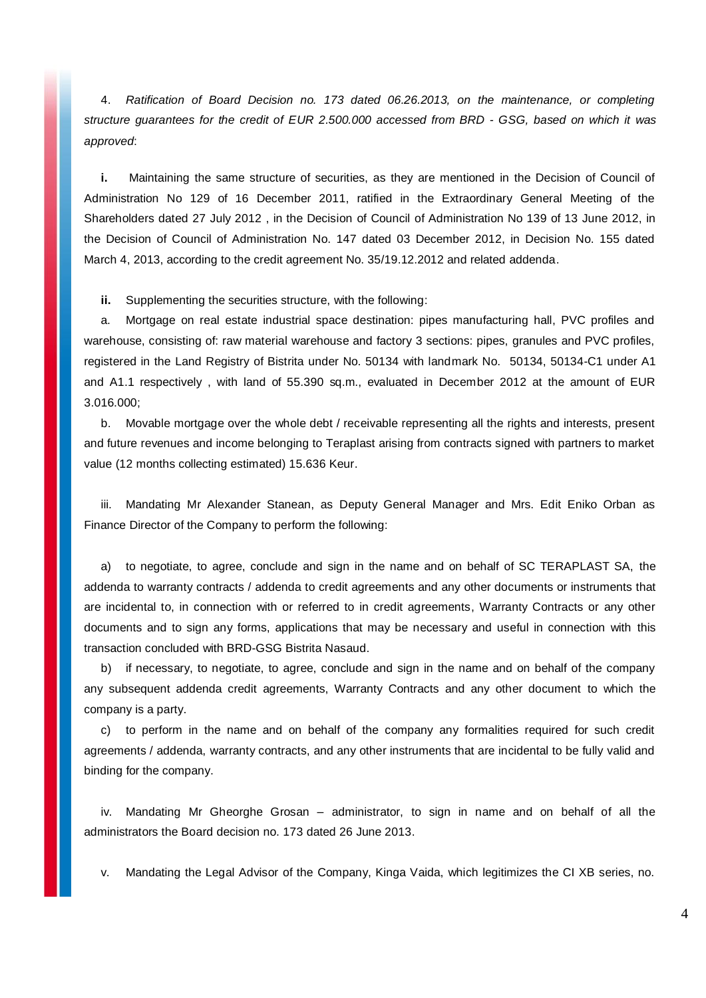4. *Ratification of Board Decision no. 173 dated 06.26.2013, on the maintenance, or completing structure guarantees for the credit of EUR 2.500.000 accessed from BRD - GSG, based on which it was approved*:

**i.** Maintaining the same structure of securities, as they are mentioned in the Decision of Council of Administration No 129 of 16 December 2011, ratified in the Extraordinary General Meeting of the Shareholders dated 27 July 2012 , in the Decision of Council of Administration No 139 of 13 June 2012, in the Decision of Council of Administration No. 147 dated 03 December 2012, in Decision No. 155 dated March 4, 2013, according to the credit agreement No. 35/19.12.2012 and related addenda.

**ii.** Supplementing the securities structure, with the following:

a. Mortgage on real estate industrial space destination: pipes manufacturing hall, PVC profiles and warehouse, consisting of: raw material warehouse and factory 3 sections: pipes, granules and PVC profiles, registered in the Land Registry of Bistrita under No. 50134 with landmark No. 50134, 50134-C1 under A1 and A1.1 respectively , with land of 55.390 sq.m., evaluated in December 2012 at the amount of EUR 3.016.000;

b. Movable mortgage over the whole debt / receivable representing all the rights and interests, present and future revenues and income belonging to Teraplast arising from contracts signed with partners to market value (12 months collecting estimated) 15.636 Keur.

iii. Mandating Mr Alexander Stanean, as Deputy General Manager and Mrs. Edit Eniko Orban as Finance Director of the Company to perform the following:

a) to negotiate, to agree, conclude and sign in the name and on behalf of SC TERAPLAST SA, the addenda to warranty contracts / addenda to credit agreements and any other documents or instruments that are incidental to, in connection with or referred to in credit agreements, Warranty Contracts or any other documents and to sign any forms, applications that may be necessary and useful in connection with this transaction concluded with BRD-GSG Bistrita Nasaud.

b) if necessary, to negotiate, to agree, conclude and sign in the name and on behalf of the company any subsequent addenda credit agreements, Warranty Contracts and any other document to which the company is a party.

c) to perform in the name and on behalf of the company any formalities required for such credit agreements / addenda, warranty contracts, and any other instruments that are incidental to be fully valid and binding for the company.

iv. Mandating Mr Gheorghe Grosan – administrator, to sign in name and on behalf of all the administrators the Board decision no. 173 dated 26 June 2013.

v. Mandating the Legal Advisor of the Company, Kinga Vaida, which legitimizes the CI XB series, no.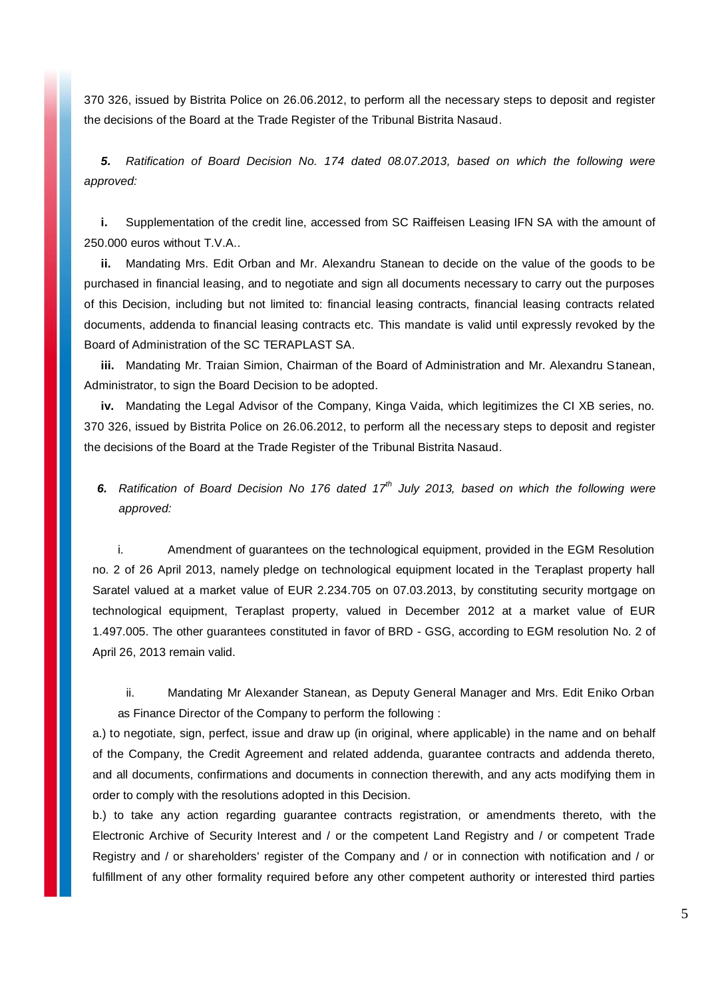370 326, issued by Bistrita Police on 26.06.2012, to perform all the necessary steps to deposit and register the decisions of the Board at the Trade Register of the Tribunal Bistrita Nasaud.

*5. Ratification of Board Decision No. 174 dated 08.07.2013, based on which the following were approved:*

**i.** Supplementation of the credit line, accessed from SC Raiffeisen Leasing IFN SA with the amount of 250.000 euros without T.V.A..

Mandating Mrs. Edit Orban and Mr. Alexandru Stanean to decide on the value of the goods to be purchased in financial leasing, and to negotiate and sign all documents necessary to carry out the purposes of this Decision, including but not limited to: financial leasing contracts, financial leasing contracts related documents, addenda to financial leasing contracts etc. This mandate is valid until expressly revoked by the Board of Administration of the SC TERAPLAST SA.

**iii.** Mandating Mr. Traian Simion, Chairman of the Board of Administration and Mr. Alexandru Stanean, Administrator, to sign the Board Decision to be adopted.

**iv.** Mandating the Legal Advisor of the Company, Kinga Vaida, which legitimizes the CI XB series, no. 370 326, issued by Bistrita Police on 26.06.2012, to perform all the necessary steps to deposit and register the decisions of the Board at the Trade Register of the Tribunal Bistrita Nasaud.

*6. Ratification of Board Decision No 176 dated 17th July 2013, based on which the following were approved:*

i. Amendment of guarantees on the technological equipment, provided in the EGM Resolution no. 2 of 26 April 2013, namely pledge on technological equipment located in the Teraplast property hall Saratel valued at a market value of EUR 2.234.705 on 07.03.2013, by constituting security mortgage on technological equipment, Teraplast property, valued in December 2012 at a market value of EUR 1.497.005. The other guarantees constituted in favor of BRD - GSG, according to EGM resolution No. 2 of April 26, 2013 remain valid.

ii. Mandating Mr Alexander Stanean, as Deputy General Manager and Mrs. Edit Eniko Orban as Finance Director of the Company to perform the following :

a.) to negotiate, sign, perfect, issue and draw up (in original, where applicable) in the name and on behalf of the Company, the Credit Agreement and related addenda, guarantee contracts and addenda thereto, and all documents, confirmations and documents in connection therewith, and any acts modifying them in order to comply with the resolutions adopted in this Decision.

b.) to take any action regarding guarantee contracts registration, or amendments thereto, with the Electronic Archive of Security Interest and / or the competent Land Registry and / or competent Trade Registry and / or shareholders' register of the Company and / or in connection with notification and / or fulfillment of any other formality required before any other competent authority or interested third parties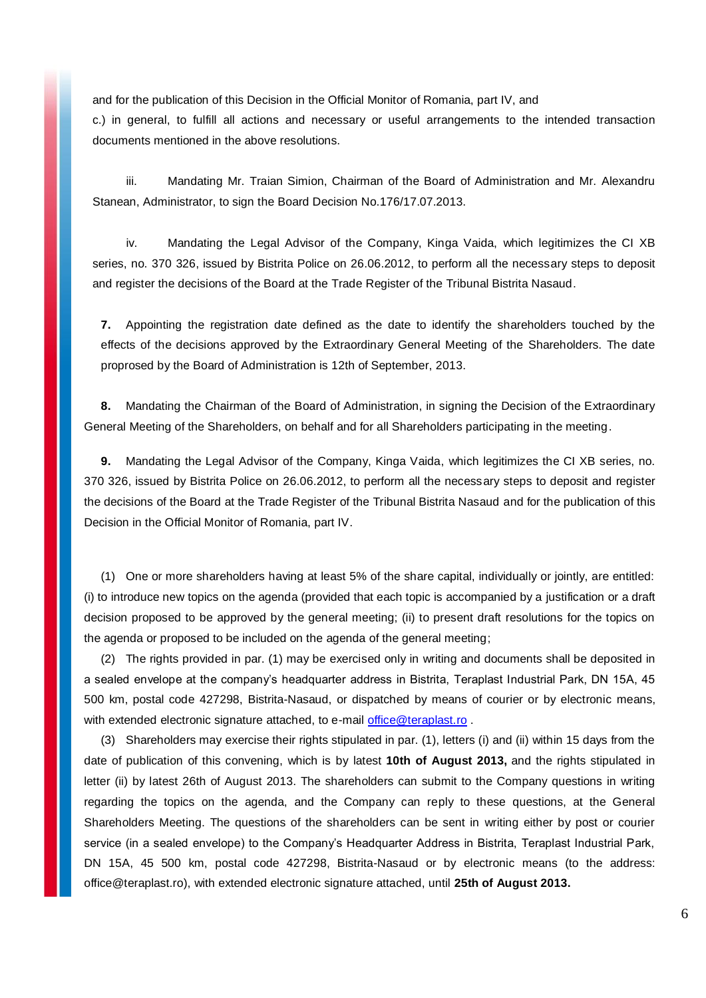and for the publication of this Decision in the Official Monitor of Romania, part IV, and

c.) in general, to fulfill all actions and necessary or useful arrangements to the intended transaction documents mentioned in the above resolutions.

iii. Mandating Mr. Traian Simion, Chairman of the Board of Administration and Mr. Alexandru Stanean, Administrator, to sign the Board Decision No.176/17.07.2013.

iv. Mandating the Legal Advisor of the Company, Kinga Vaida, which legitimizes the CI XB series, no. 370 326, issued by Bistrita Police on 26.06.2012, to perform all the necessary steps to deposit and register the decisions of the Board at the Trade Register of the Tribunal Bistrita Nasaud.

**7.** Appointing the registration date defined as the date to identify the shareholders touched by the effects of the decisions approved by the Extraordinary General Meeting of the Shareholders. The date proprosed by the Board of Administration is 12th of September, 2013.

**8.** Mandating the Chairman of the Board of Administration, in signing the Decision of the Extraordinary General Meeting of the Shareholders, on behalf and for all Shareholders participating in the meeting.

**9.** Mandating the Legal Advisor of the Company, Kinga Vaida, which legitimizes the CI XB series, no. 370 326, issued by Bistrita Police on 26.06.2012, to perform all the necessary steps to deposit and register the decisions of the Board at the Trade Register of the Tribunal Bistrita Nasaud and for the publication of this Decision in the Official Monitor of Romania, part IV.

(1) One or more shareholders having at least 5% of the share capital, individually or jointly, are entitled: (i) to introduce new topics on the agenda (provided that each topic is accompanied by a justification or a draft decision proposed to be approved by the general meeting; (ii) to present draft resolutions for the topics on the agenda or proposed to be included on the agenda of the general meeting;

(2) The rights provided in par. (1) may be exercised only in writing and documents shall be deposited in a sealed envelope at the company's headquarter address in Bistrita, Teraplast Industrial Park, DN 15A, 45 500 km, postal code 427298, Bistrita-Nasaud, or dispatched by means of courier or by electronic means, with extended electronic signature attached, to e-mail [office@teraplast.ro](mailto:office@teraplast.ro).

(3) Shareholders may exercise their rights stipulated in par. (1), letters (i) and (ii) within 15 days from the date of publication of this convening, which is by latest **10th of August 2013,** and the rights stipulated in letter (ii) by latest 26th of August 2013. The shareholders can submit to the Company questions in writing regarding the topics on the agenda, and the Company can reply to these questions, at the General Shareholders Meeting. The questions of the shareholders can be sent in writing either by post or courier service (in a sealed envelope) to the Company's Headquarter Address in Bistrita, Teraplast Industrial Park, DN 15A, 45 500 km, postal code 427298, Bistrita-Nasaud or by electronic means (to the address: office@teraplast.ro), with extended electronic signature attached, until **25th of August 2013.**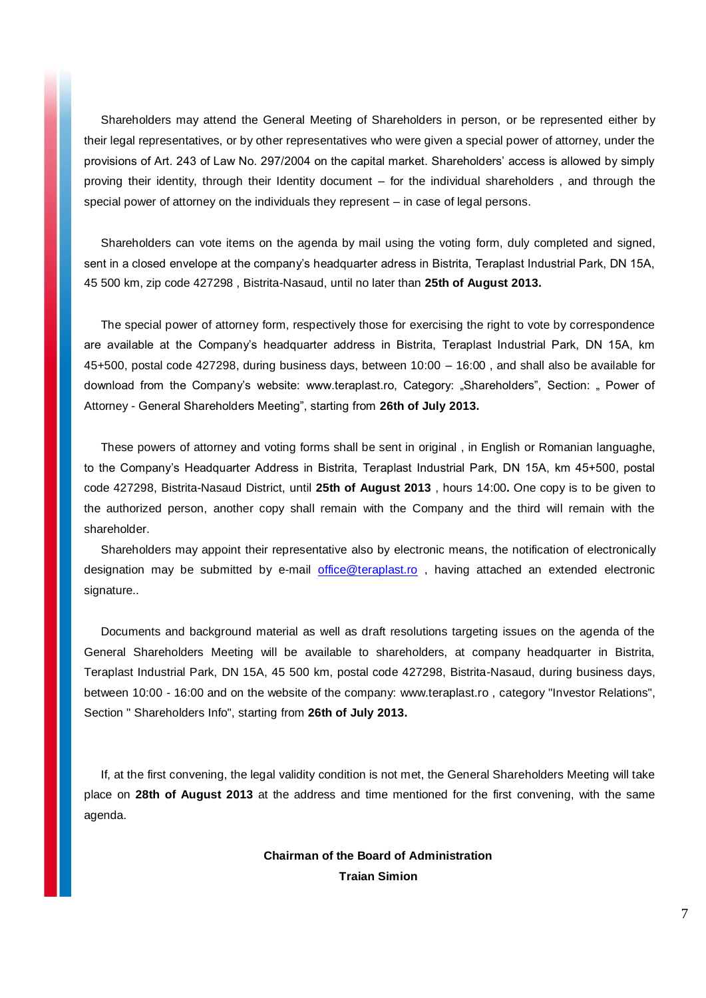Shareholders may attend the General Meeting of Shareholders in person, or be represented either by their legal representatives, or by other representatives who were given a special power of attorney, under the provisions of Art. 243 of Law No. 297/2004 on the capital market. Shareholders' access is allowed by simply proving their identity, through their Identity document – for the individual shareholders , and through the special power of attorney on the individuals they represent – in case of legal persons.

Shareholders can vote items on the agenda by mail using the voting form, duly completed and signed, sent in a closed envelope at the company's headquarter adress in Bistrita, Teraplast Industrial Park, DN 15A, 45 500 km, zip code 427298 , Bistrita-Nasaud, until no later than **25th of August 2013.**

The special power of attorney form, respectively those for exercising the right to vote by correspondence are available at the Company's headquarter address in Bistrita, Teraplast Industrial Park, DN 15A, km 45+500, postal code 427298, during business days, between 10:00 – 16:00 , and shall also be available for download from the Company's website: www.teraplast.ro, Category: "Shareholders", Section: " Power of Attorney - General Shareholders Meeting", starting from **26th of July 2013.**

These powers of attorney and voting forms shall be sent in original , in English or Romanian languaghe, to the Company's Headquarter Address in Bistrita, Teraplast Industrial Park, DN 15A, km 45+500, postal code 427298, Bistrita-Nasaud District, until **25th of August 2013** , hours 14:00**.** One copy is to be given to the authorized person, another copy shall remain with the Company and the third will remain with the shareholder.

Shareholders may appoint their representative also by electronic means, the notification of electronically designation may be submitted by e-mail [office@teraplast.ro](mailto:office@teraplast.ro), having attached an extended electronic signature..

Documents and background material as well as draft resolutions targeting issues on the agenda of the General Shareholders Meeting will be available to shareholders, at company headquarter in Bistrita, Teraplast Industrial Park, DN 15A, 45 500 km, postal code 427298, Bistrita-Nasaud, during business days, between 10:00 - 16:00 and on the website of the company: www.teraplast.ro , category "Investor Relations", Section " Shareholders Info", starting from **26th of July 2013.**

If, at the first convening, the legal validity condition is not met, the General Shareholders Meeting will take place on **28th of August 2013** at the address and time mentioned for the first convening, with the same agenda.

> **Chairman of the Board of Administration Traian Simion**